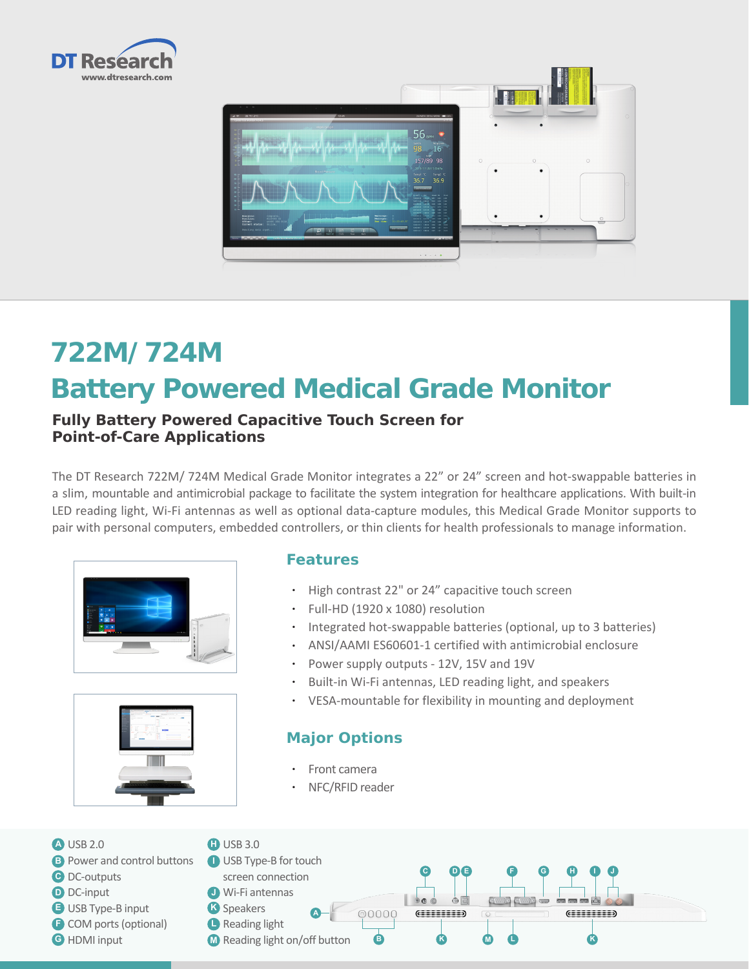



# **722M/ 724M Battery Powered Medical Grade Monitor**

#### **Fully Battery Powered Capacitive Touch Screen for Point-of-Care Applications**

The DT Research 722M/ 724M Medical Grade Monitor integrates a 22" or 24" screen and hot-swappable batteries in a slim, mountable and antimicrobial package to facilitate the system integration for healthcare applications. With built-in LED reading light, Wi-Fi antennas as well as optional data-capture modules, this Medical Grade Monitor supports to pair with personal computers, embedded controllers, or thin clients for health professionals to manage information.





#### **Features**

- • High contrast 22" or 24" capacitive touch screen
- • Full-HD (1920 x 1080) resolution
- Integrated hot-swappable batteries (optional, up to 3 batteries)
- • ANSI/AAMI ES60601-1 certified with antimicrobial enclosure
- • Power supply outputs 12V, 15V and 19V
- Built-in Wi-Fi antennas, LED reading light, and speakers
- • VESA-mountable for flexibility in mounting and deployment

### **Major Options**

- **Front camera**
- NFC/RFID reader